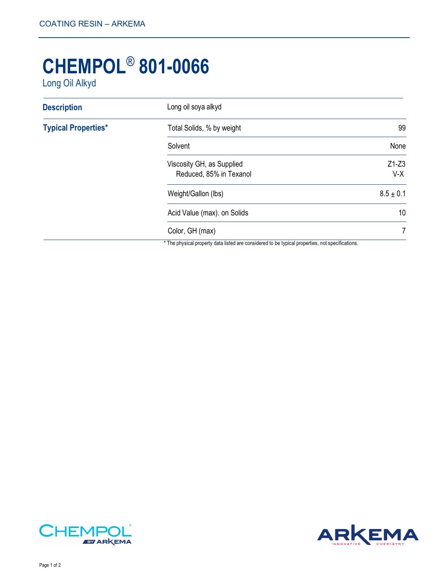## **CHEMPOL**® **801-0066**

Long Oil Alkyd

| Long oil soya alkyd                                  |                  |
|------------------------------------------------------|------------------|
| Total Solids, % by weight                            | 99               |
| Solvent                                              | None             |
| Viscosity GH, as Supplied<br>Reduced, 85% in Texanol | $Z1-Z3$<br>$V-X$ |
| Weight/Gallon (lbs)                                  | $8.5 \pm 0.1$    |
| Acid Value (max). on Solids                          | 10               |
| Color, GH (max)                                      | 7                |
|                                                      |                  |

The physical property data listed are considered to be typical properties, not specifications.